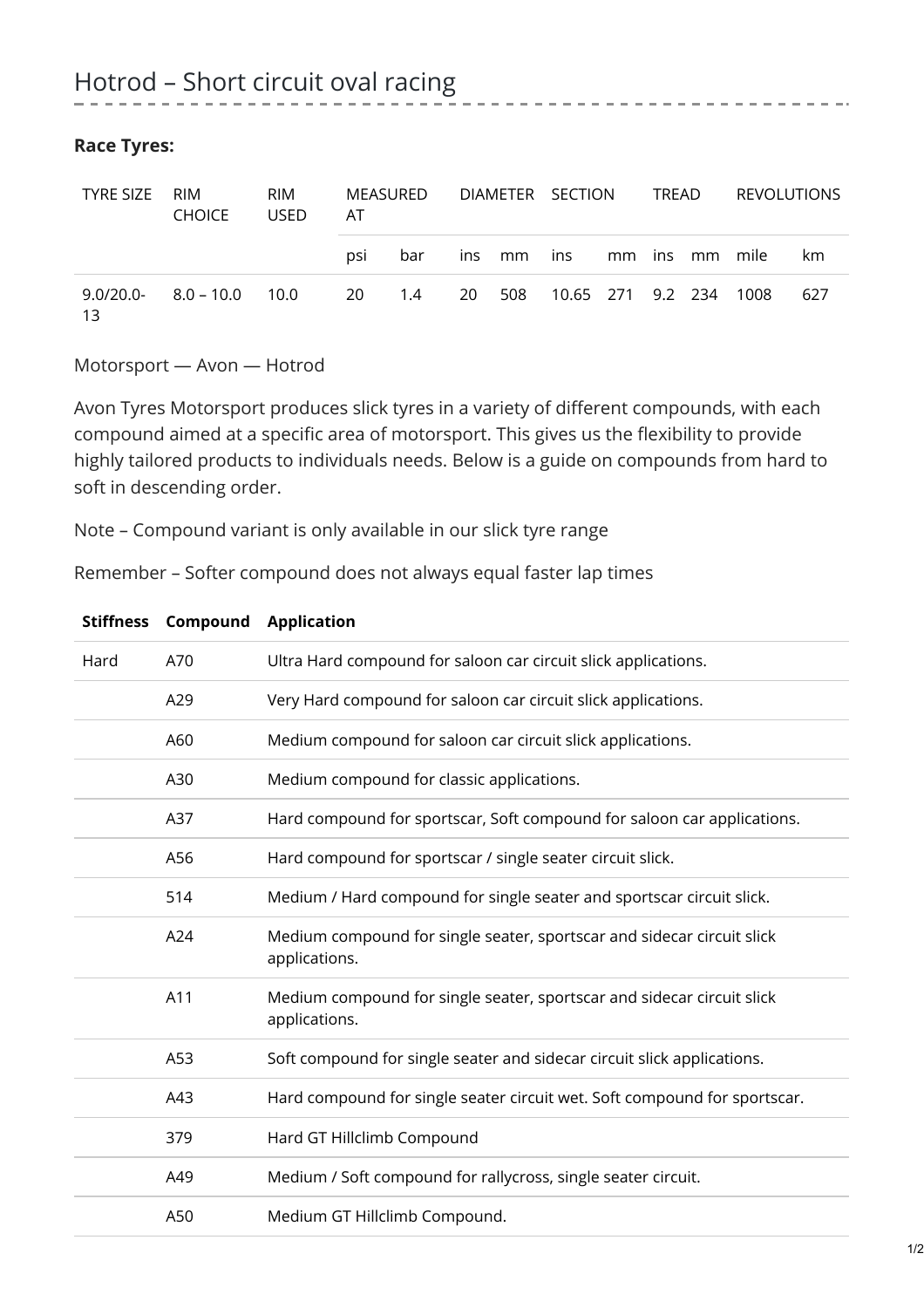| <b>TYRE SIZE</b>   | RIM<br><b>CHOICE</b> | RIM<br><b>USED</b> | MEASURED<br>AT |        | DIAMETER SECTION |        |                    |  | TREAD |  | REVOLUTIONS    |     |
|--------------------|----------------------|--------------------|----------------|--------|------------------|--------|--------------------|--|-------|--|----------------|-----|
|                    |                      |                    | psi            | bar    |                  | ins mm | ins                |  |       |  | mm ins mm mile | km  |
| $9.0/20.0 -$<br>13 | $8.0 - 10.0$         | 10.0               |                | 20 1.4 |                  | 20 508 | 10.65 271  9.2 234 |  |       |  | 1008           | 627 |

## **Race Tyres:**

Motorsport — Avon — Hotrod

Avon Tyres Motorsport produces slick tyres in a variety of different compounds, with each compound aimed at a specific area of motorsport. This gives us the flexibility to provide highly tailored products to individuals needs. Below is a guide on compounds from hard to soft in descending order.

Note – Compound variant is only available in our slick tyre range

Remember – Softer compound does not always equal faster lap times

|      | JUIIIICJJ LUIIIµUUIIU | Application                                                                             |
|------|-----------------------|-----------------------------------------------------------------------------------------|
| Hard | A70                   | Ultra Hard compound for saloon car circuit slick applications.                          |
|      | A29                   | Very Hard compound for saloon car circuit slick applications.                           |
|      | A60                   | Medium compound for saloon car circuit slick applications.                              |
|      | A30                   | Medium compound for classic applications.                                               |
|      | A37                   | Hard compound for sportscar, Soft compound for saloon car applications.                 |
|      | A56                   | Hard compound for sportscar / single seater circuit slick.                              |
|      | 514                   | Medium / Hard compound for single seater and sportscar circuit slick.                   |
|      | A24                   | Medium compound for single seater, sportscar and sidecar circuit slick<br>applications. |
|      | A11                   | Medium compound for single seater, sportscar and sidecar circuit slick<br>applications. |
|      | A53                   | Soft compound for single seater and sidecar circuit slick applications.                 |
|      | A43                   | Hard compound for single seater circuit wet. Soft compound for sportscar.               |
|      | 379                   | Hard GT Hillclimb Compound                                                              |
|      | A49                   | Medium / Soft compound for rallycross, single seater circuit.                           |
|      | A50                   | Medium GT Hillclimb Compound.                                                           |

## **Stiffness Compound Application**